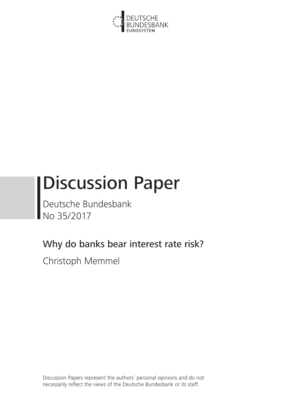

# Discussion Paper

Deutsche Bundesbank No 35/2017

## Why do banks bear interest rate risk?

Christoph Memmel

Discussion Papers represent the authors' personal opinions and do not necessarily reflect the views of the Deutsche Bundesbank or its staff.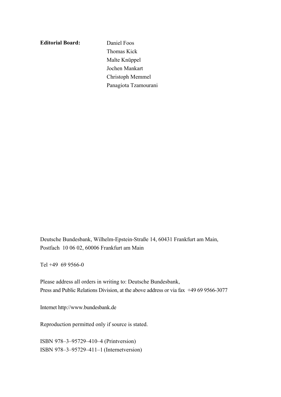**Editorial Board:**

 Daniel Foos Thomas Kick Malte Knüppel Jochen Mankart Christoph Memmel Panagiota Tzamourani

Deutsche Bundesbank, Wilhelm-Epstein-Straße 14, 60431 Frankfurt am Main, Postfach 10 06 02, 60006 Frankfurt am Main

Tel +49 69 9566-0

Please address all orders in writing to: Deutsche Bundesbank, Press and Public Relations Division, at the above address or via fax +49 69 9566-3077

Internet http://www.bundesbank.de

Reproduction permitted only if source is stated.

ISBN 978–3–95729–410–4 (Printversion) ISBN 978–3–95729–411–1 (Internetversion)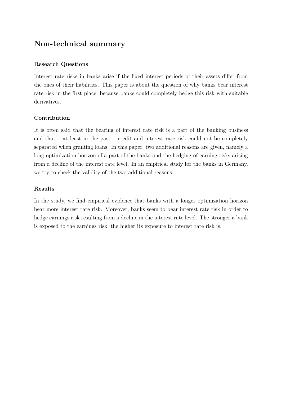## <span id="page-2-0"></span>Non-technical summary

## Research Questions

Interest rate risks in banks arise if the fixed interest periods of their assets differ from the ones of their liabilities. This paper is about the question of why banks bear interest rate risk in the first place, because banks could completely hedge this risk with suitable derivatives.

## Contribution

It is often said that the bearing of interest rate risk is a part of the banking business and that – at least in the past – credit and interest rate risk could not be completely separated when granting loans. In this paper, two additional reasons are given, namely a long optimization horizon of a part of the banks and the hedging of earning risks arising from a decline of the interest rate level. In an empirical study for the banks in Germany, we try to check the validity of the two additional reasons.

## Results

In the study, we find empirical evidence that banks with a longer optimization horizon bear more interest rate risk. Moreover, banks seem to bear interest rate risk in order to hedge earnings risk resulting from a decline in the interest rate level. The stronger a bank is exposed to the earnings risk, the higher its exposure to interest rate risk is.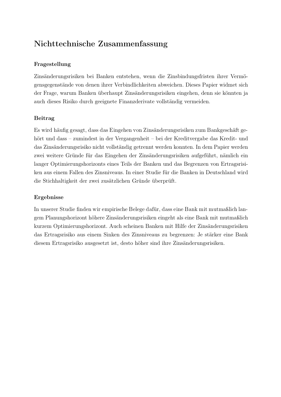## Nichttechnische Zusammenfassung

## Fragestellung

Zinsänderungsrisiken bei Banken entstehen, wenn die Zinsbindungsfristen ihrer Vermögensgegenstände von denen ihrer Verbindlichkeiten abweichen. Dieses Papier widmet sich der Frage, warum Banken überhaupt Zinsänderungsrisiken eingehen, denn sie könnten ja auch dieses Risiko durch geeignete Finanzderivate vollständig vermeiden.

## Beitrag

Es wird häufig gesagt, dass das Eingehen von Zinsänderungsrisiken zum Bankgeschäft gehört und dass – zumindest in der Vergangenheit – bei der Kreditvergabe das Kredit- und das Zinsänderungsrisiko nicht vollständig getrennt werden konnten. In dem Papier werden zwei weitere Gründe für das Eingehen der Zinsänderungsrisiken aufgeführt, nämlich ein langer Optimierungshorizonts eines Teils der Banken und das Begrenzen von Ertragsrisiken aus einem Fallen des Zinsniveaus. In einer Studie für die Banken in Deutschland wird die Stichhaltigkeit der zwei zusätzlichen Gründe überprüft.

#### Ergebnisse

In unserer Studie finden wir empirische Belege dafür, dass eine Bank mit mutmaßlich langem Planungshorizont höhere Zinsänderungsrisiken eingeht als eine Bank mit mutmaßlich kurzem Optimierungshorizont. Auch scheinen Banken mit Hilfe der Zinsänderungsrisiken das Ertragsrisiko aus einem Sinken des Zinsniveaus zu begrenzen: Je stärker eine Bank diesem Ertragsrisiko ausgesetzt ist, desto höher sind ihre Zinsänderungsrisiken.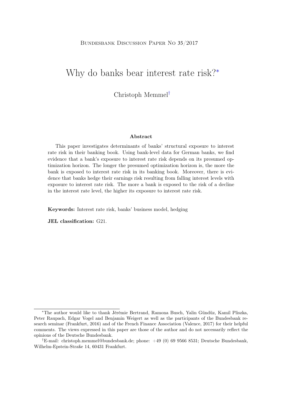#### Bundesbank Discussion Paper No 35/2017

## Why do banks bear interest rate risk?[∗](#page-2-0)

Christoph Memme[l](#page-2-0)†

#### Abstract

This paper investigates determinants of banks' structural exposure to interest rate risk in their banking book. Using bank-level data for German banks, we find evidence that a bank's exposure to interest rate risk depends on its presumed optimization horizon. The longer the presumed optimization horizon is, the more the bank is exposed to interest rate risk in its banking book. Moreover, there is evidence that banks hedge their earnings risk resulting from falling interest levels with exposure to interest rate risk. The more a bank is exposed to the risk of a decline in the interest rate level, the higher its exposure to interest rate risk.

Keywords: Interest rate risk, banks' business model, hedging

JEL classification: G21.

<sup>∗</sup>The author would like to thank Jérémie Bertrand, Ramona Busch, Yalin Gündüz, Kamil Pliszka, Peter Raupach, Edgar Vogel and Benjamin Weigert as well as the participants of the Bundesbank research seminar (Frankfurt, 2016) and of the French Finance Association (Valence, 2017) for their helpful comments. The views expressed in this paper are those of the author and do not necessarily reflect the opinions of the Deutsche Bundesbank.

<sup>†</sup>E-mail: christoph.memmel@bundesbank.de; phone: +49 (0) 69 9566 8531; Deutsche Bundesbank, Wilhelm-Epstein-Straße 14, 60431 Frankfurt.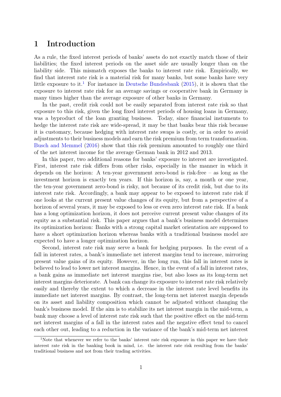## 1 Introduction

As a rule, the fixed interest periods of banks' assets do not exactly match those of their liabilities; the fixed interest periods on the asset side are usually longer than on the liability side. This mismatch exposes the banks to interest rate risk. Empirically, we find that interest rate risk is a material risk for many banks, but some banks have very little exposure to it.<sup>[1](#page-2-0)</sup> For instance in [Deutsche Bundesbank](#page-23-0) [\(2015\)](#page-23-0), it is shown that the exposure to interest rate risk for an average savings or cooperative bank in Germany is many times higher than the average exposure of other banks in Germany.

In the past, credit risk could not be easily separated from interest rate risk so that exposure to this risk, given the long fixed interest periods of housing loans in Germany, was a byproduct of the loan granting business. Today, since financial instuments to hedge the interest rate risk are wide-spread, it may be that banks bear this risk because it is customary, because hedging with interest rate swaps is costly, or in order to avoid adjustments to their business models and earn the risk premium from term transformation. [Busch and Memmel](#page-23-1) [\(2016\)](#page-23-1) show that this risk premium amounted to roughly one third of the net interest income for the average German bank in 2012 and 2013.

In this paper, two additional reasons for banks' exposure to interest are investigated. First, interest rate risk differs from other risks, especially in the manner in which it depends on the horizon: A ten-year government zero-bond is risk-free – as long as the investment horizon is exactly ten years. If this horizon is, say, a month or one year, the ten-year government zero-bond is risky, not because of its credit risk, but due to its interest rate risk. Accordingly, a bank may appear to be exposed to interest rate risk if one looks at the current present value changes of its equity, but from a perspective of a horizon of several years, it may be exposed to less or even zero interest rate risk. If a bank has a long optimization horizon, it does not perceive current present value changes of its equity as a substantial risk. This paper argues that a bank's business model determines its optimization horizon: Banks with a strong capital market orientation are supposed to have a short optimization horizon whereas banks with a traditional business model are expected to have a longer optimization horizon.

Second, interest rate risk may serve a bank for hedging purposes. In the event of a fall in interest rates, a bank's immediate net interest margins tend to increase, mirroring present value gains of its equity. However, in the long run, this fall in interest rates is believed to lead to lower net interest margins. Hence, in the event of a fall in interest rates, a bank gains as immediate net interest margins rise, but also loses as its long-term net interest margins deteriorate. A bank can change its exposure to interest rate risk relatively easily and thereby the extent to which a decrease in the interest rate level benefits its immediate net interest margins. By contrast, the long-term net interest margin depends on its asset and liability composition which cannot be adjusted without changing the bank's business model. If the aim is to stabilize its net interest margin in the mid-term, a bank may choose a level of interest rate risk such that the positive effect on the mid-term net interest margins of a fall in the interest rates and the negative effect tend to cancel each other out, leading to a reduction in the variance of the bank's mid-term net interest

<sup>&</sup>lt;sup>1</sup>Note that whenever we refer to the banks' interest rate risk exposure in this paper we have their interest rate risk in the banking book in mind, i.e. the interest rate risk resulting from the banks' traditional business and not from their trading activities.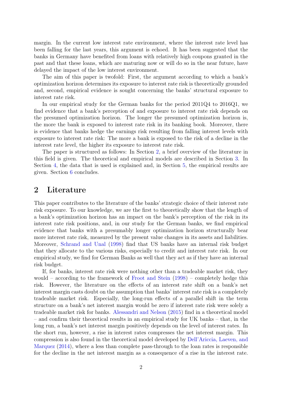margin. In the current low interest rate environment, where the interest rate level has been falling for the last years, this argument is echoed. It has been suggested that the banks in Germany have benefited from loans with relatively high coupons granted in the past and that these loans, which are maturing now or will do so in the near future, have delayed the impact of the low interest environment.

The aim of this paper is twofold: First, the argument according to which a bank's optimization horizon determines its exposure to interest rate risk is theoretically grounded and, second, empirical evidence is sought concerning the banks' structural exposure to interest rate risk.

In our empirical study for the German banks for the period 2011Q4 to 2016Q1, we find evidence that a bank's perception of and exposure to interest rate risk depends on the presumed optimization horizon. The longer the presumed optimization horizon is, the more the bank is exposed to interest rate risk in its banking book. Moreover, there is evidence that banks hedge the earnings risk resulting from falling interest levels with exposure to interest rate risk: The more a bank is exposed to the risk of a decline in the interest rate level, the higher its exposure to interest rate risk.

The paper is structured as follows: In Section [2,](#page-6-0) a brief overview of the literature in this field is given. The theoretical and empirical models are described in Section [3.](#page-7-0) In Section [4,](#page-15-0) the data that is used is explained and, in Section [5,](#page-18-0) the empirical results are given. Section [6](#page-20-0) concludes.

## <span id="page-6-0"></span>2 Literature

This paper contributes to the literature of the banks' strategic choice of their interest rate risk exposure. To our knowledge, we are the first to theoretically show that the length of a bank's optimization horizon has an impact on the bank's perception of the risk in its interest rate risk positions, and, in our study for the German banks, we find empirical evidence that banks with a presumably longer optimization horizon structurally bear more interest rate risk, measured by the present value changes in its assets and liabilities. Moreover, [Schrand and Unal](#page-24-0) [\(1998\)](#page-24-0) find that US banks have an internal risk budget that they allocate to the various risks, especially to credit and interest rate risk. In our empirical study, we find for German Banks as well that they act as if they have an internal risk budget.

If, for banks, interest rate risk were nothing other than a tradeable market risk, they would – according to the framework of [Froot and Stein](#page-23-2) [\(1998\)](#page-23-2) – completely hedge this risk. However, the literature on the effects of an interest rate shift on a bank's net interest margin casts doubt on the assumption that banks' interest rate risk is a completely tradeable market risk. Especially, the long-run effects of a parallel shift in the term structure on a bank's net interest margin would be zero if interest rate risk were solely a tradeable market risk for banks. [Alessandri and Nelson](#page-23-3) [\(2015\)](#page-23-3) find in a theoretical model – and confirm their theoretical results in an empirical study for UK banks – that, in the long run, a bank's net interest margin positively depends on the level of interest rates. In the short run, however, a rise in interest rates compresses the net interest margin. This compression is also found in the theoretical model developed by [Dell'Ariccia, Laeven, and](#page-23-4) [Marquez](#page-23-4) [\(2014\)](#page-23-4), where a less than complete pass-through to the loan rates is responsible for the decline in the net interest margin as a consequence of a rise in the interest rate.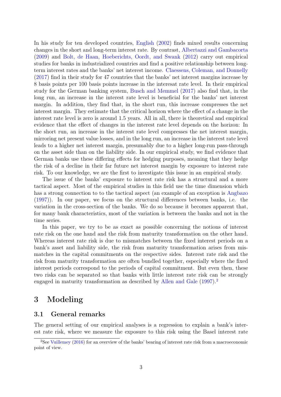In his study for ten developed countries, [English](#page-23-5) [\(2002\)](#page-23-5) finds mixed results concerning changes in the short and long-term interest rate. By contrast, [Albertazzi and Gambacorta](#page-23-6) [\(2009\)](#page-23-6) and [Bolt, de Haan, Hoeberichts, Oordt, and Swank](#page-23-7) [\(2012\)](#page-23-7) carry out empirical studies for banks in industrialized countries and find a positive relationship between longterm interest rates and the banks' net interest income. [Claessens, Coleman, and Donnelly](#page-23-8) [\(2017\)](#page-23-8) find in their study for 47 countries that the banks' net interest margins increase by 8 basis points per 100 basis points increase in the interesat rate level. In their empirical study for the German banking system, [Busch and Memmel](#page-23-9) [\(2017\)](#page-23-9) also find that, in the long run, an increase in the interest rate level is beneficial for the banks' net interest margin. In addition, they find that, in the short run, this increase compresses the net interest margin. They estimate that the critical horizon where the effect of a change in the interest rate level is zero is around 1.5 years. All in all, there is theoretical and empirical evidence that the effect of changes in the interest rate level depends on the horizon: In the short run, an increase in the interest rate level compresses the net interest margin, mirroring net present value losses, and in the long run, an increase in the interest rate level leads to a higher net interest margin, presumably due to a higher long-run pass-through on the asset side than on the liability side. In our empirical study, we find evidence that German banks use these differing effects for hedging purposes, meaning that they hedge the risk of a decline in their far future net interest margin by exposure to interest rate risk. To our knowledge, we are the first to investigate this issue in an empirical study.

The issue of the banks' exposure to interest rate risk has a structural and a more tactical aspect. Most of the empirical studies in this field use the time dimension which has a strong connection to to the tactical aspect (an example of an exception is [Angbazo](#page-23-10) [\(1997\)](#page-23-10)). In our paper, we focus on the structural differences between banks, i.e. the variation in the cross-section of the banks. We do so because it becomes apparent that, for many bank characteristics, most of the variation is between the banks and not in the time series.

In this paper, we try to be as exact as possible concerning the notions of interest rate risk on the one hand and the risk from maturity transformation on the other hand. Whereas interest rate risk is due to mismatches between the fixed interest periods on a bank's asset and liability side, the risk from maturity transformation arises from mismatches in the capital commitments on the respective sides. Interest rate risk and the risk from maturity transformation are often bundled together, especially where the fixed interest periods correspond to the periods of capital commitment. But even then, these two risks can be separated so that banks with little interest rate risk can be strongly engaged in maturity transformation as described by [Allen and Gale](#page-23-11) [\(1997\)](#page-23-11).<sup>[2](#page-2-0)</sup>

## <span id="page-7-0"></span>3 Modeling

#### 3.1 General remarks

The general setting of our empirical analyses is a regression to explain a bank's interest rate risk, where we measure the exposure to this risk using the Basel interest rate

<sup>2</sup>See [Vuillemey](#page-24-1) [\(2016\)](#page-24-1) for an overview of the banks' bearing of interest rate risk from a macroeconomic point of view.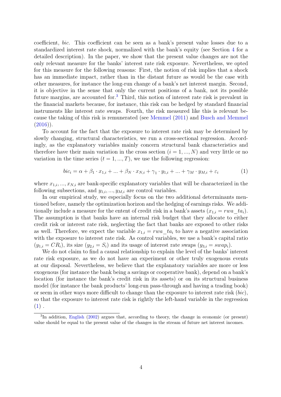coefficient, bic. This coefficient can be seen as a bank's present value losses due to a standardized interest rate shock, normalized with the bank's equity (see Section [4](#page-15-0) for a detailed description). In the paper, we show that the present value changes are not the only relevant measure for the banks' interest rate risk exposure. Nevertheless, we opted for this measure for the following reasons: First, the notion of risk implies that a shock has an immediate impact, rather than in the distant future as would be the case with other measures, for instance the long-run change of a bank's net interest margin. Second, it is objective in the sense that only the current positions of a bank, not its possible future margins, are accounted for.[3](#page-2-0) Third, this notion of interest rate risk is prevalent in the financial markets because, for instance, this risk can be hedged by standard financial instruments like interest rate swaps. Fourth, the risk measured like this is relevant because the taking of this risk is remunerated (see [Memmel](#page-24-2) [\(2011\)](#page-24-2) and [Busch and Memmel](#page-23-1)  $(2016)$ ).

To account for the fact that the exposure to interest rate risk may be determined by slowly changing, structural characteristics, we run a cross-sectional regression. Accordingly, as the explanatory variables mainly concern structural bank characteristics and therefore have their main variation in the cross section  $(i = 1, ..., N)$  and very little or no variation in the time series  $(t = 1, ..., T)$ , we use the following regression:

<span id="page-8-0"></span>
$$
bic_i = \alpha + \beta_1 \cdot x_{1,i} + \ldots + \beta_N \cdot x_{N,i} + \gamma_1 \cdot y_{1,i} + \ldots + \gamma_M \cdot y_{M,i} + \varepsilon_i \tag{1}
$$

where  $x_{1,i},...,x_{N,i}$  are bank-specific explanatory variables that will be characterized in the following subsections, and  $y_{1,i},..., y_{M,i}$  are control variables.

In our empirical study, we especially focus on the two additional determinants mentioned before, namely the optimization horizon and the hedging of earnings risks. We additionally include a measure for the entent of credit risk in a bank's assets  $(x_{1,i} = rwa\_ta_i)$ . The assumption is that banks have an internal risk budget that they allocate to either credit risk or interest rate risk, neglecting the fact that banks are exposed to other risks as well. Therefore, we expect the variable  $x_{1,i} = rwa_{i}ta_{i}$  to have a negative association with the exposure to interest rate risk. As control variables, we use a bank's capital ratio  $(y_{1,i} = CR_i)$ , its size  $(y_{2,i} = S_i)$  and its usage of interest rate swaps  $(y_{3,i} = swap_i)$ .

We do not claim to find a causal relationship to explain the level of the banks' interest rate risk exposure, as we do not have an experiment or other truly exogenous events at our disposal. Nevertheless, we believe that the explanatory variables are more or less exogenous (for instance the bank being a savings or cooperative bank), depend on a bank's location (for instance the bank's credit risk in its assets) or on its structural business model (for instance the bank products' long-run pass-through and having a trading book) or seem in other ways more difficult to change than the exposure to interest rate risk  $(bic)$ , so that the exposure to interest rate risk is rightly the left-hand variable in the regression  $(1)$ .

<sup>&</sup>lt;sup>3</sup>In addition, [English](#page-23-5) [\(2002\)](#page-23-5) argues that, according to theory, the change in economic (or present) value should be equal to the present value of the changes in the stream of future net interest incomes.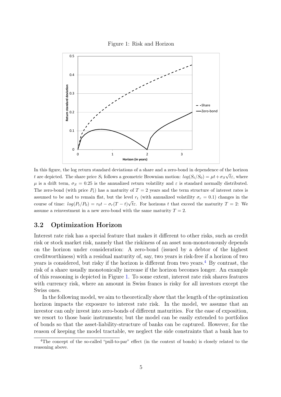<span id="page-9-0"></span>

In this figure, the log return standard deviations of a share and a zero-bond in dependence of the horizon t are depicted. The share price  $S_t$  follows a geometric Brownian motion:  $log(S_t/S_0) = \mu t + \sigma_S \sqrt{t \varepsilon}$ , where  $\mu$  is a drift term,  $\sigma_S = 0.25$  is the annualized return volatility and  $\varepsilon$  is standard normally distributed. The zero-bond (with price  $P_t$ ) has a maturity of  $T = 2$  years and the term structure of interest rates is assumed to be and to remain flat, but the level  $r_t$  (with annualized volatility  $\sigma_r = 0.1$ ) changes in the course of time:  $log(P_t/P_0) = r_0t - \sigma_r(T-t)$ √ the For horizons t that exceed the maturity  $T = 2$ : We assume a reinvestment in a new zero-bond with the same maturity  $T = 2$ .

## <span id="page-9-1"></span>3.2 Optimization Horizon

Interest rate risk has a special feature that makes it different to other risks, such as credit risk or stock market risk, namely that the riskiness of an asset non-monotonously depends on the horizon under consideration: A zero-bond (issued by a debtor of the highest creditworthiness) with a residual maturity of, say, two years is risk-free if a horizon of two years is considered, but risky if the horizon is different from two years.<sup>[4](#page-2-0)</sup> By contrast, the risk of a share usually monotonically increase if the horizon becomes longer. An example of this reasoning is depicted in Figure [1.](#page-9-0) To some extent, interest rate risk shares features with currency risk, where an amount in Swiss francs is risky for all investors except the Swiss ones.

In the following model, we aim to theoretically show that the length of the optimization horizon impacts the exposure to interest rate risk. In the model, we assume that an investor can only invest into zero-bonds of different maturities. For the ease of exposition, we resort to those basic instruments; but the model can be easily extended to portfolios of bonds so that the asset-liability-structure of banks can be captured. However, for the reason of keeping the model tractable, we neglect the side constraints that a bank has to

<sup>4</sup>The concept of the so-called "pull-to-par" effect (in the context of bonds) is closely related to the reasoning above.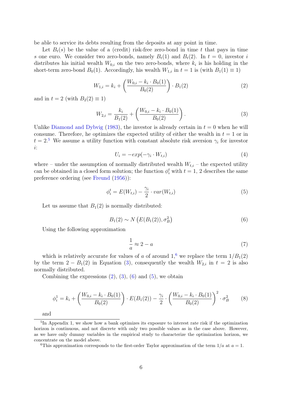be able to service its debts resulting from the deposits at any point in time.

Let  $B_t(s)$  be the value of a (credit) risk-free zero-bond in time t that pays in time s one euro. We consider two zero-bonds, namely  $B_t(1)$  and  $B_t(2)$ . In  $t = 0$ , investor i distributes his initial wealth  $W_{0,i}$  on the two zero-bonds, where  $k_i$  is his holding in the short-term zero-bond  $B_0(1)$ . Accordingly, his wealth  $W_{1,i}$  in  $t = 1$  is (with  $B_1(1) \equiv 1$ )

<span id="page-10-1"></span>
$$
W_{1,i} = k_i + \left(\frac{W_{0,i} - k_i \cdot B_0(1)}{B_0(2)}\right) \cdot B_1(2) \tag{2}
$$

and in  $t = 2$  (with  $B_2(2) \equiv 1$ )

<span id="page-10-0"></span>
$$
W_{2,i} = \frac{k_i}{B_1(2)} + \left(\frac{W_{0,i} - k_i \cdot B_0(1)}{B_0(2)}\right).
$$
 (3)

Unlike [Diamond and Dybvig](#page-23-12) [\(1983\)](#page-23-12), the investor is already certain in  $t = 0$  when he will consume. Therefore, he optimizes the expected utility of either the wealth in  $t = 1$  or in  $t = 2.5$  $t = 2.5$  We assume a utility function with constant absolute risk aversion  $\gamma_i$  for investor i:

$$
U_i = -exp(-\gamma_i \cdot W_{t,i})
$$
\n<sup>(4)</sup>

where – under the assumption of normally distributed wealth  $W_{t,i}$  – the expected utility can be obtained in a closed form solution; the function  $\phi_i^t$  with  $t = 1, 2$  describes the same preference ordering (see [Freund](#page-23-13) [\(1956\)](#page-23-13)):

<span id="page-10-3"></span>
$$
\phi_i^t = E(W_{t,i}) - \frac{\gamma_i}{2} \cdot var(W_{t,i}) \tag{5}
$$

Let us assume that  $B_1(2)$  is normally distributed:

<span id="page-10-2"></span>
$$
B_1(2) \sim N\left(E(B_1(2)), \sigma_B^2\right) \tag{6}
$$

Using the following approximation

<span id="page-10-4"></span>
$$
\frac{1}{a} \approx 2 - a \tag{7}
$$

which is relatively accurate for values of a of around  $1<sup>6</sup>$  $1<sup>6</sup>$  $1<sup>6</sup>$  we replace the term  $1/B<sub>1</sub>(2)$ by the term  $2 - B_1(2)$  in Equation [\(3\)](#page-10-0), consequently the wealth  $W_{2,i}$  in  $t = 2$  is also normally distributed.

Combining the expressions  $(2)$ ,  $(3)$ ,  $(6)$  and  $(5)$ , we obtain

$$
\phi_i^1 = k_i + \left(\frac{W_{0,i} - k_i \cdot B_0(1)}{B_0(2)}\right) \cdot E(B_1(2)) - \frac{\gamma_i}{2} \cdot \left(\frac{W_{0,i} - k_i \cdot B_0(1)}{B_0(2)}\right)^2 \cdot \sigma_B^2 \tag{8}
$$

and

<sup>6</sup>This approximation corresponds to the first-order Taylor approximation of the term  $1/a$  at  $a = 1$ .

<sup>&</sup>lt;sup>5</sup>In Appendix 1, we show how a bank optimizes its exposure to interest rate risk if the optimization horizon is continuous, and not discrete with only two possible values as in the case above. However, as we have only dummy variables in the empirical study to characterize the optimization horizon, we concentrate on the model above.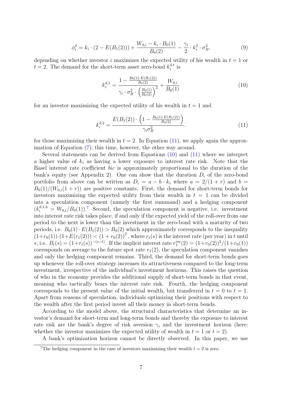$$
\phi_i^2 = k_i \cdot (2 - E(B_1(2))) + \frac{W_{0,i} - k_i \cdot B_0(1)}{B_0(2)} - \frac{\gamma_i}{2} \cdot k_i^2 \cdot \sigma_B^2,\tag{9}
$$

depending on whether investor i maximizes the expected utility of his wealth in  $t = 1$  or  $t = 2$ . The demand for the short-term asset zero-bond  $k_i^{d,t}$  $i^{a,t}$  is

<span id="page-11-1"></span>
$$
k_i^{d,1} = \frac{1 - \frac{B_0(1) \cdot E(B_1(2))}{B_0(2)}}{\gamma_i \cdot \sigma_B^2 \cdot \left(\frac{B_0(1)}{B_0(2)}\right)^2} + \frac{W_{0,i}}{B_0(1)}
$$
(10)

for an investor maximizing the expected utility of his wealth in  $t = 1$  and

<span id="page-11-0"></span>
$$
k_i^{d,2} = \frac{E(B_1(2)) \cdot \left(1 - \frac{B_0(1) \cdot E(B_1(2))}{B_0(2)}\right)}{\gamma_i \sigma_B^2}.
$$
\n(11)

for those maximizing their wealth in  $t = 2$ . In Equation [\(11\)](#page-11-0), we apply again the approximation of Equation [\(7\)](#page-10-4); this time, however, the other way around.

Several statements can be derived from Equations [\(10\)](#page-11-1) and [\(11\)](#page-11-0) where we interpret a higher value of  $k_i$  as having a lower exposure to interest rate risk. Note that the Basel interest rate coefficient bic is approximately proportional to the duration of the bank's equity (see Appendix 2). One can show that the duration  $D_i$  of the zero-bond portfolio from above can be written as  $D_i = a - b \cdot k_i$  where  $a = 2/(1 + r)$  and  $b =$  $B_0(1)/(W_{0,i}(1+r))$  are positive constants. First, the demand for short-term bonds for investors maximizing the expected utility from their wealth in  $t = 1$  can be divided into a speculation component (namely the first summand) and a hedging component  $(k_i^{d,1,h} = W_{0,i}/B_0(1))$ .<sup>[7](#page-2-0)</sup> Second, the speculation component is negative, i.e. investment into interest rate risk takes place, if and only if the expected yield of the roll-over from one period to the next is lower than the investment in the zero-bond with a maturity of two periods, i.e.  $B_0(1) \cdot E(B_1(2)) > B_0(2)$  which approximately corresponds to the inequality  $(1+r_0(1))\cdot(1+E(r_1(2))) < (1+r_0(2))^2$ , where  $r_t(s)$  is the interest rate (per year) in t until s, i.e.  $B_t(s) = (1 + r_t(s))^{-(s-t)}$ . If the implicit interest rate  $r_1^{im}(2) = (1 + r_0(2))^2/(1 + r_0(1))$ corresponds on average to the future spot rate  $r_1(2)$ , the speculation component vanishes and only the hedging component remains. Third, the demand for short-term bonds goes up whenever the roll-over strategy increases its attractiveness compared to the long-term investment, irrespective of the individual's investment horizons. This raises the question of who in the economy provides the additional supply of short-term bonds in that event, meaning who tactically bears the interest rate risk. Fourth, the hedging component corresponds to the present value of the initial wealth, but transferred in  $t = 0$  to  $t = 1$ . Apart from reasons of speculation, individuals optimizing their positions with respect to the wealth after the first period invest all their money in short-term bonds.

According to the model above, the structural characteristics that determine an investor's demand for short-term and long-term bonds and thereby the exposure to interest rate risk are the bank's degree of risk aversion  $\gamma_i$  and the investment horizon (here: whether the investor maximizes the expected utility of wealth in  $t = 1$  or  $t = 2$ ).

A bank's optimization horizon cannot be directly observed. In this paper, we use

<sup>&</sup>lt;sup>7</sup>The hedging component in the case of investors maximizing their wealth  $t = 2$  is zero.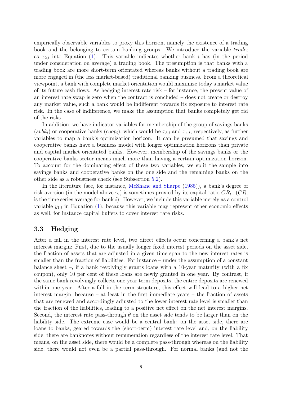empirically observable variables to proxy this horizon, namely the existence of a trading book and the belonging to certain banking groups. We introduce the variable  $trade_i$ as  $x_{2,i}$  into Equation [\(1\)](#page-8-0). This variable indicates whether bank i has (in the period under consideration on average) a trading book. The presumption is that banks with a trading book are more short-term orientated whereas banks without a trading book are more engaged in (the less market-based) traditional banking business. From a theoretical viewpoint, a bank with complete market orientation would maximize today's market value of its future cash flows. As hedging interest rate risk – for instance, the present value of an interest rate swap is zero when the contract is concluded – does not create or destroy any market value, such a bank would be indifferent towards its exposure to interest rate risk. In the case of indifference, we make the assumption that banks completely get rid of the risks.

In addition, we have indicator variables for membership of the group of savings banks (svbk<sub>i</sub>) or cooperative banks (coop<sub>i</sub>), which would be  $x_{3,i}$  and  $x_{4,i}$ , respectively, as further variables to map a bank's optimization horizon. It can be presumed that savings and cooperative banks have a business model with longer optimization horizons than private and capital market orientated banks. However, membership of the savings banks or the cooperative banks sector means much more than having a certain optimization horizon. To account for the dominating effect of these two variables, we split the sample into savings banks and cooperative banks on the one side and the remaining banks on the other side as a robustness check (see Subsection [5.2\)](#page-20-1).

In the literature (see, for instance, [McShane and Sharpe](#page-24-3) [\(1985\)](#page-24-3)), a bank's degree of risk aversion (in the model above  $\gamma_i$ ) is sometimes proxied by its capital ratio  $CR_{t,i}$  (CR<sub>i</sub> is the time series average for bank  $i$ ). However, we include this variable merely as a control variable  $y_{1,i}$  in Equation [\(1\)](#page-8-0), because this variable may represent other economic effects as well, for instance capital buffers to cover interest rate risks.

## <span id="page-12-0"></span>3.3 Hedging

After a fall in the interest rate level, two direct effects occur concerning a bank's net interest margin: First, due to the usually longer fixed interest periods on the asset side, the fraction of assets that are adjusted in a given time span to the new interest rates is smaller than the fraction of liabilities. For instance – under the assumption of a constant balance sheet –, if a bank revolvingly grants loans with a 10-year maturity (with a fix coupon), only 10 per cent of these loans are newly granted in one year. By contrast, if the same bank revolvingly collects one-year term deposits, the entire deposits are renewed within one year. After a fall in the term structure, this effect will lead to a higher net interest margin, because – at least in the first immediate years – the fraction of assets that are renewed and accordingly adjusted to the lower interest rate level is smaller than the fraction of the liabilities, leading to a positive net effect on the net interest margins. Second, the interest rate pass-through  $\theta$  on the asset side tends to be larger than on the liability side. The extreme case would be a central bank: on the asset side, there are loans to banks, geared towards the (short-term) interest rate level and, on the liability side, there are banknotes without remuneration regardless of the interest rate level. That means, on the asset side, there would be a complete pass-through whereas on the liability side, there would not even be a partial pass-through. For normal banks (and not the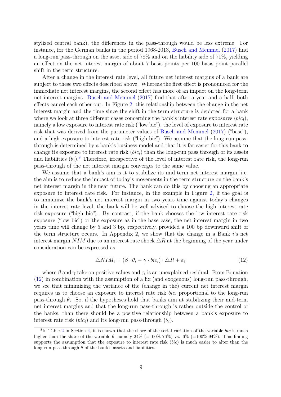stylized central bank), the differences in the pass-through would be less extreme. For instance, for the German banks in the period 1968-2013, [Busch and Memmel](#page-23-9) [\(2017\)](#page-23-9) find a long-run pass-through on the asset side of 78% and on the liability side of 71%, yielding an effect on the net interest margin of about 7 basis-points per 100 basis point parallel shift in the term structure.

After a change in the interest rate level, all future net interest margins of a bank are subject to these two effects described above. Whereas the first effect is pronounced for the immediate net interest margins, the second effect has more of an impact on the long-term net interest margins. [Busch and Memmel](#page-23-9) [\(2017\)](#page-23-9) find that after a year and a half, both effects cancel each other out. In Figure [2,](#page-14-0) this relationship between the change in the net interest margin and the time since the shift in the term structure is depicted for a bank where we look at three different cases concerning the bank's interest rate exposures  $(bic_i)$ , namely a low exposure to interest rate risk ("low bic"), the level of exposure to interest rate risk that was derived from the parameter values of [Busch and Memmel](#page-23-9) [\(2017\)](#page-23-9) ("base"), and a high exposure to interest rate risk ("high bic"). We assume that the long-run passthrough is determined by a bank's business model and that it is far easier for this bank to change its exposure to interest rate risk  $(bic_i)$  than the long-run pass through of its assets and liabilities  $(\theta_i)$ .<sup>[8](#page-2-0)</sup> Therefore, irrespective of the level of interest rate risk, the long-run pass-through of the net interest margin converges to the same value.

We assume that a bank's aim is it to stabilize its mid-term net interest margin, i.e. the aim is to reduce the impact of today's movements in the term structure on the bank's net interest margin in the near future. The bank can do this by choosing an appropriate exposure to interest rate risk. For instance, in the example in Figure [2,](#page-14-0) if the goal is to immunize the bank's net interest margin in two years time against today's changes in the interest rate level, the bank will be well advised to choose the high interest rate risk exposure ("high bic"). By contrast, if the bank chooses the low interest rate risk exposure ("low bic") or the exposure as in the base case, the net interest margin in two years time will change by 5 and 3 bp, respectively, provided a 100 bp downward shift of the term structure occurs. In Appendix 2, we show that the change in a Bank i's net interest margin NIM due to an interest rate shock  $\triangle R$  at the beginning of the year under consideration can be expressed as

<span id="page-13-0"></span>
$$
\triangle NIM_i = (\beta \cdot \theta_i - \gamma \cdot bic_i) \cdot \triangle R + \varepsilon_i, \tag{12}
$$

where  $\beta$  and  $\gamma$  take on positive values and  $\varepsilon_i$  is an unexplained residual. From Equation [\(12\)](#page-13-0) in combination with the assumption of a fix (and exogenous) long-run pass-through, we see that minimizing the variance of the (change in the) current net interest margin requires us to choose an exposure to interest rate risk  $bic<sub>i</sub>$  proportional to the long-run pass-through  $\theta_i$ . So, if the hypotheses hold that banks aim at stabilizing their mid-term net interest margins and that the long-run pass-through is rather outside the control of the banks, than there should be a positive relationship between a bank's exposure to interest rate risk  $(bic_i)$  and its long-run pass-through  $(\theta_i)$ .

<sup>&</sup>lt;sup>8</sup>In Table [2](#page-17-0) in Section [4,](#page-15-0) it is shown that the share of the serial variation of the variable bic is much higher than the share of the variable  $\theta$ , namely 24% (=100%-76%) vs. 6% (=100%-94%). This finding supports the assumption that the exposure to interest rate risk (bic) is much easier to alter than the long-run pass-through  $\theta$  of the bank's assets and liabilities.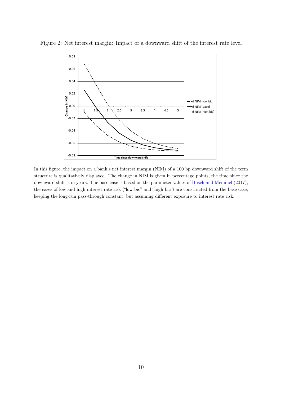

Figure 2: Net interest margin: Impact of a downward shift of the interest rate level

<span id="page-14-0"></span>In this figure, the impact on a bank's net interest margin (NIM) of a 100 bp downward shift of the term structure is qualitatively displayed. The change in NIM is given in percentage points, the time since the downward shift is in years. The base case is based on the parameter values of Busch and Memmel (2017); the cases of low and high interest rate risk ("low bic" and "high bic") are constructed from the base case, keeping the long-run pass-through constant, but assuming different exposure to interest rate risk.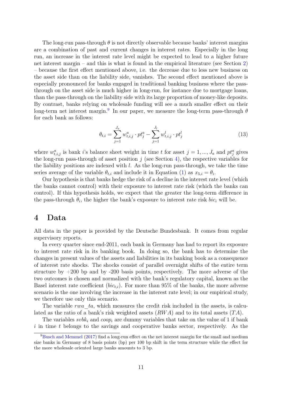The long-run pass-through  $\theta$  is not directly observable because banks' interest margins are a combination of past and current changes in interest rates. Especially in the long run, an increase in the interest rate level might be expected to lead to a higher future net interest margin – and this is what is found in the empirical literature (see Section [2\)](#page-6-0) – because the first effect mentioned above, i.e. the decrease due to less new business on the asset side than on the liability side, vanishes. The second effect mentioned above is especially pronounced for banks engaged in traditional banking business where the passthrough on the asset side is much higher in long-run, for instance due to mortgage loans, than the pass-through on the liability side with its large proportion of money-like deposits. By contrast, banks relying on wholesale funding will see a much smaller effect on their long-term net interest margin.<sup>[9](#page-2-0)</sup> In our paper, we measure the long-term pass-through  $\theta$ for each bank as follows:

<span id="page-15-1"></span>
$$
\theta_{t,i} = \sum_{j=1}^{J_a} w_{t,i,j}^a \cdot pt_j^a - \sum_{j=1}^{J_l} w_{t,i,j}^l \cdot pt_j^l \tag{13}
$$

where  $w_{t,i,j}^a$  is bank i's balance sheet weight in time t for asset  $j = 1, ..., J_a$  and  $pt_j^a$  gives the long-run pass-through of asset position j (see Section [4\)](#page-15-0), the respective variables for the liability positions are indexed with  $l$ . As the long-run pass-through, we take the time series average of the variable  $\theta_{t,i}$  and include it in Equation [\(1\)](#page-8-0) as  $x_{5,i} = \theta_i$ .

Our hypothesis is that banks hedge the risk of a decline in the interest rate level (which the banks cannot control) with their exposure to interest rate risk (which the banks can control). If this hypothesis holds, we expect that the greater the long-term difference in the pass-through  $\theta_i$ , the higher the bank's exposure to interest rate risk  $bic_i$  will be.

## <span id="page-15-0"></span>4 Data

All data in the paper is provided by the Deutsche Bundesbank. It comes from regular supervisory reports.

In every quarter since end-2011, each bank in Germany has had to report its exposure to interest rate risk in its banking book. In doing so, the bank has to determine the changes in present values of the assets and liabilities in its banking book as a consequence of interest rate shocks. The shocks consist of parallel overnight shifts of the entire term structure by  $+200$  bp and by  $-200$  basis points, respectively. The more adverse of the two outcomes is chosen and normalized with the bank's regulatory capital, known as the Basel interest rate coefficient  $(bic_{t,i})$ . For more than 95% of the banks, the more adverse scenario is the one involving the increase in the interest rate level; in our empirical study, we therefore use only this scenario.

The variable rwa  $ta$ , which measures the credit risk included in the assets, is calculated as the ratio of a bank's risk weighted assets  $(RWA)$  and to its total assets  $(TA)$ .

The variables  $s v b k_i$  and  $coop_i$  are dummy variables that take on the value of 1 if bank  $i$  in time t belongs to the savings and cooperative banks sector, respectively. As the

<sup>9</sup>[Busch and Memmel](#page-23-9) [\(2017\)](#page-23-9) find a long-run effect on the net interest margin for the small and medium size banks in Germany of 8 basis points (bp) per 100 bp shift in the term structure while the effect for the more wholesale oriented large banks amounts to 3 bp.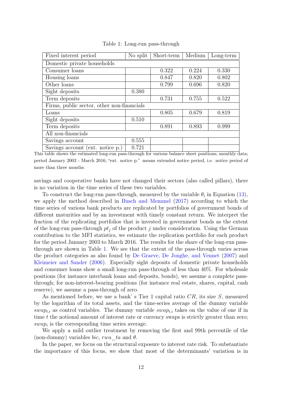<span id="page-16-0"></span>

| Fixed interest period                      | No split | Short-term | Medium | Long-term |  |  |
|--------------------------------------------|----------|------------|--------|-----------|--|--|
| Domestic private households                |          |            |        |           |  |  |
| Consumer loans                             |          | 0.322      | 0.224  | 0.330     |  |  |
| Housing loans                              |          | 0.847      | 0.820  | 0.802     |  |  |
| Other loans                                |          | 0.799      | 0.696  | 0.820     |  |  |
| Sight deposits                             | 0.380    |            |        |           |  |  |
| Term deposits                              |          | 0.731      | 0.755  | 0.522     |  |  |
| Firms, public sector, other non-financials |          |            |        |           |  |  |
| Loans                                      |          | 0.805      | 0.679  | 0.819     |  |  |
| Sight deposits                             | 0.510    |            |        |           |  |  |
| Term deposits                              |          | 0.891      | 0.893  | 0.999     |  |  |
| All non-financials                         |          |            |        |           |  |  |
| Savings account                            | 0.555    |            |        |           |  |  |
| Savings account (ext. notice p.)           | 0.721    |            |        |           |  |  |

Table 1: Long-run pass-through

This table shows the estimated long-run pass-through for various balance sheet positions; monthly data; period January 2003 - March 2016; "ext. notice p." means extended notice period, i.e. notice period of more than three months.

savings and cooperative banks have not changed their sectors (also called pillars), there is no variation in the time series of these two variables.

To construct the long-run pass-through, measured by the variable  $\theta_i$  in Equation [\(13\)](#page-15-1), we apply the method described in [Busch and Memmel](#page-23-9) [\(2017\)](#page-23-9) according to which the time series of various bank products are replicated by portfolios of government bonds of different maturities and by an investment with timely constant return. We interpret the fraction of the replicating portfolios that is invested in government bonds as the extent of the long-run pass-through  $pt_i$  of the product j under consideration. Using the German contribution to the MFI statistics, we estimate the replication portfolio for each product for the period January 2003 to March 2016. The results for the share of the long-run passthrough are shown in Table [1.](#page-16-0) We see that the extent of the pass-through varies across the product categories as also found by [De Graeve, De Jonghe, and Vennet](#page-23-14) [\(2007\)](#page-23-14) and [Kleimeier and Sander](#page-24-4) [\(2006\)](#page-24-4). Especially sight deposits of domestic private households and consumer loans show a small long-run pass-through of less than 40%. For wholesale positions (for instance interbank loans and deposits, bonds), we assume a complete passthrough; for non-interest-bearing positions (for instance real estate, shares, capital, cash reserve), we assume a pass-through of zero.

As mentioned before, we use a bank' s Tier 1 capital ratio  $CR$ , its size S, measured by the logarithm of its total assets, and the time-series average of the dummy variable swap<sub>t,i</sub> as control variables. The dummy variable swap<sub>t,i</sub> takes on the value of one if in time t the notional amount of interest rate or currency swaps is strictly greater than zero;  $swap_i$  is the corresponding time series average.

We apply a mild outlier treatment by removing the first and 99th percentile of the (non-dummy) variables bic, rwa ta and  $\theta$ .

In the paper, we focus on the structural exposure to interest rate risk. To substantiate the importance of this focus, we show that most of the determinants' variation is in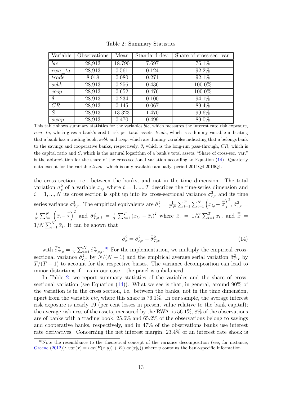<span id="page-17-0"></span>

| Variable  | Observations | Mean   | Standard dev. | Share of cross-sec. var. |
|-----------|--------------|--------|---------------|--------------------------|
| bic       | 28,913       | 18.790 | 7.697         | 76.1%                    |
| $rwa\_ta$ | 28,913       | 0.561  | 0.124         | 92.2\%                   |
| trade     | 8,018        | 0.080  | 0.271         | 92.1%                    |
| s v b k   | 28,913       | 0.256  | 0.436         | 100.0%                   |
| coop      | 28,913       | 0.652  | 0.476         | 100.0%                   |
| $\theta$  | 28,913       | 0.234  | 0.100         | 94.1\%                   |
| CR        | 28,913       | 0.145  | 0.067         | 89.4%                    |
| S         | 28,913       | 13.323 | 1.470         | 99.6%                    |
| swap      | 28,913       | 0.470  | 0.499         | 89.0%                    |

Table 2: Summary Statistics

This table shows summary statistics for the variables bic, which measures the interest rate risk exposure, rwa ta, which gives a bank's credit risk per total assets, trade, which is a dummy variable indicating that a bank has a trading book, svbk and coop, which are dummy variables indicating that a belongs bank to the savings and cooperative banks, respectively,  $\theta$ , which is the long-run pass-through,  $CR$ , which is the capital ratio and S, which is the natural logarithm of a bank's total assets. "Share of cross-sec. var." is the abbreviation for the share of the cross-sectional variation according to Equation [\(14\)](#page-17-1). Quarterly data except for the variable trade, which is only available annually, period 2011Q4-2016Q1.

the cross section, i.e. between the banks, and not in the time dimension. The total variation  $\sigma_x^2$  of a variable  $x_{t,i}$  where  $t = 1, ..., T$  describes the time-series dimension and  $i = 1, ..., N$  its cross section is split up into its cross-sectional variance  $\sigma_{c,x}^2$  and its time series variance  $\sigma_{T,x}^2$ . The empirical equivalents are  $\hat{\sigma}_x^2 = \frac{1}{T}$ .  $\frac{1}{T\cdot N}\sum_{t=1}^{T}\sum_{i=1}^{N}\left(x_{t,i}-\frac{\overline{x}}{x}\right)^{2}, \hat{\sigma}_{c,x}^{2} =$ 1  $\frac{1}{N}\sum_{i=1}^{N}(\overline{x}_{i}-\overline{\overline{x}})^{2}$  and  $\hat{\sigma}_{T,x,i}^{2} = \frac{1}{T}$  $\frac{1}{T} \sum_{t=1}^{T} (x_{t,i} - \bar{x}_i)^2$  where  $\bar{x}_i = 1/T \sum_{t=1}^{T} x_{t,i}$  and  $\bar{\bar{x}} =$  $1/N \sum_{i=1}^{N} \bar{x}_i$ . It can be shown that

<span id="page-17-1"></span>
$$
\hat{\sigma}_x^2 = \hat{\sigma}_{c,x}^2 + \bar{\hat{\sigma}}_{T,x}^2 \tag{14}
$$

with  $\bar{\hat{\sigma}}_{T,x}^2 = \frac{1}{N}$  $\frac{1}{N}\sum_{i=1}^{N}\hat{\sigma}_{T,x,i}^{2}$ .<sup>[10](#page-2-0)</sup> For the implementation, we multiply the empirical crosssectional variance  $\hat{\sigma}_{c,x}^2$  by  $N/(N-1)$  and the empirical average serial variation  $\bar{\hat{\sigma}}_{T,x}^2$  by  $T/(T-1)$  to account for the respective biases. The variance decomposition can lead to minor distortions if – as in our case – the panel is unbalanced.

In Table [2,](#page-17-0) we report summary statistics of the variables and the share of crosssectional variation (see Equation  $(14)$ ). What we see is that, in general, around 90% of the variation is in the cross section, i.e. between the banks, not in the time dimension, apart from the variable bic, where this share is 76.1%. In our sample, the average interest risk exposure is nearly 19 (per cent losses in present value relative to the bank capital); the average riskiness of the assets, measured by the RWA, is 56.1%, 8% of the observations are of banks with a trading book,  $25.6\%$  and  $65.2\%$  of the observations belong to savings and cooperative banks, respectively, and in 47% of the observations banks use interest rate derivatives. Concerning the net interest margin, 23.4% of an interest rate shock is

<sup>&</sup>lt;sup>10</sup>Note the resemblance to the theoretical concept of the variance decomposition (see, for instance, [Greene](#page-23-15) [\(2012\)](#page-23-15)):  $var(x) = var(E(x|y)) + E(var(x|y))$  where y contains the bank-specific information.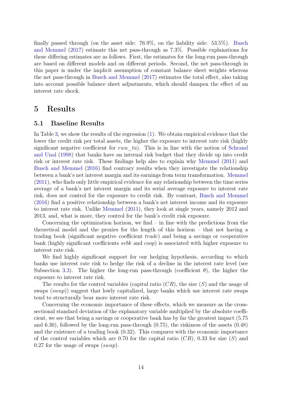finally passed through (on the asset side: 76.9%, on the liability side: 53.5%). [Busch](#page-23-9) [and Memmel](#page-23-9) [\(2017\)](#page-23-9) estimate this net pass-through as 7.3%. Possible explanations for these differing estimates are as follows. First, the estimates for the long-run pass-through are based on different models and on different periods. Second, the net pass-through in this paper is under the implicit assumption of constant balance sheet weights whereas the net pass-through in [Busch and Memmel](#page-23-9) [\(2017\)](#page-23-9) estimates the total effect, also taking into account possible balance sheet adjustments, which should dampen the effect of an interest rate shock.

## <span id="page-18-0"></span>5 Results

#### <span id="page-18-1"></span>5.1 Baseline Results

In Table [3,](#page-19-0) we show the results of the regression [\(1\)](#page-8-0). We obtain empirical evidence that the lower the credit risk per total assets, the higher the exposure to interest rate risk (highly significant negative coefficient for rwa  $ta$ ). This is in line with the notion of [Schrand](#page-24-0) [and Unal](#page-24-0) [\(1998\)](#page-24-0) that banks have an internal risk budget that they divide up into credit risk or interest rate risk. These findings help also to explain why [Memmel](#page-24-2) [\(2011\)](#page-24-2) and [Busch and Memmel](#page-23-1) [\(2016\)](#page-23-1) find contrary results when they investigate the relationship between a bank's net interest margin and its earnings from term transformation. [Memmel](#page-24-2) [\(2011\)](#page-24-2), who finds only little empirical evidence for any relationship between the time series average of a bank's net interest margin and its serial average exposure to interest rate risk, does not control for the exposure to credit risk. By contrast, [Busch and Memmel](#page-23-1) [\(2016\)](#page-23-1) find a positive relationship between a bank's net interest income and its exposure to interest rate risk. Unlike [Memmel](#page-24-2) [\(2011\)](#page-24-2), they look at single years, namely 2012 and 2013, and, what is more, they control for the bank's credit risk exposure.

Concerning the optimization horizon, we find  $-$  in line with the predictions from the theoretical model and the proxies for the length of this horizon – that not having a trading book (significant negative coefficient trade) and being a savings or cooperative bank (highly significant coefficients svbk and coop) is associated with higher exposure to interest rate risk.

We find highly significant support for our hedging hypothesis, according to which banks use interest rate risk to hedge the risk of a decline in the interest rate level (see Subsection [3.3\)](#page-12-0). The higher the long-run pass-through (coefficient  $\theta$ ), the higher the exposure to interest rate risk.

The results for the control variables (capital ratio  $(CR)$ , the size  $(S)$ ) and the usage of swaps (swap)) suggest that lowly capitalized, large banks which use interest rate swaps tend to structurally bear more interest rate risk.

Concerning the economic importance of these effects, which we measure as the crosssectional standard deviation of the explanatory variable multiplied by the absolute coefficient, we see that being a savings or cooperative bank has by far the greatest impact (5.75 and 6.30), followed by the long-run pass-through (0.75), the riskiness of the assets (0.48) and the existence of a trading book (0.32). This compares with the economic importance of the control variables which are 0.70 for the capital ratio  $(CR)$ , 0.33 for size  $(S)$  and 0.27 for the usage of swaps  $(swap)$ .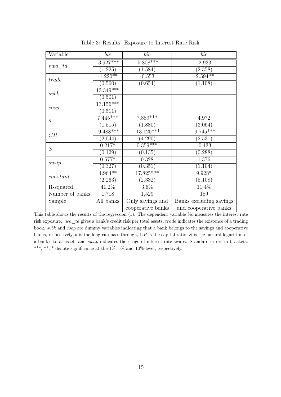<span id="page-19-0"></span>

| Variable        | $_{bic}$             | bic                   | bic                     |  |
|-----------------|----------------------|-----------------------|-------------------------|--|
|                 | $-3.927***$          | $-5.808***$           | $-2.933$                |  |
| rwa ta          | (1.225)              | (1.584)               | (2.358)                 |  |
|                 | $-1.220**$           | $-0.553$              | $-2.594**$              |  |
| trade           | $(0.56\overline{0})$ | (0.654)               | (1.108)                 |  |
| subk            | $13.349***$          |                       |                         |  |
|                 | (0.501)              |                       |                         |  |
| coop            | $13.156***$          |                       |                         |  |
|                 | (0.511)              |                       |                         |  |
| $\theta$        | $7.445***$           | $7.889***$            | 4.972                   |  |
|                 | (1.515)              | (1.880)               | (3.064)                 |  |
| CR              | $-9.488***$          | $-13.120***$          | $-9.745***$             |  |
|                 | (2.044)              | $(4.\overline{290)}$  | (2.531)                 |  |
| S               | $0.2\overline{17*}$  | $0.\overline{359***}$ | $-0.133$                |  |
|                 | (0.129)              | (0.135)               | (0.288)                 |  |
|                 | $0.577*$             | 0.328                 | 1.376                   |  |
| swap            | (0.327)              | (0.351)               | (1.104)                 |  |
| constant        | $4.964**$            | $17.825***$           | $9.928*$                |  |
|                 | (2.263)              | (2.332)               | (5.108)                 |  |
| R-squared       | $\overline{41.2\%}$  | $3.6\%$               | $11.4\%$                |  |
| Number of banks | 1,718                | 1,529                 | 189                     |  |
| Sample          | All banks            | Only savings and      | Banks excluding savings |  |
|                 |                      | cooperative banks     | and cooperative banks   |  |

Table 3: Results: Exposure to Interest Rate Risk

This table shows the results of the regression (1). The dependent variable bic measures the interest rate risk exposure, rwa\_ta gives a bank's credit risk per total assets, trade indicates the existence of a trading book, svbk and coop are dummy variables indicating that a bank belongs to the savings and cooperative banks, respectively,  $\theta$  is the long-run pass-through, CR is the capital ratio, S is the natural logarithm of a bank's total assets and swap indicates the usage of interest rate swaps. Standard errors in brackets. \*\*\*, \*\*, \* denote significance at the 1%, 5% and 10%-level, respectively.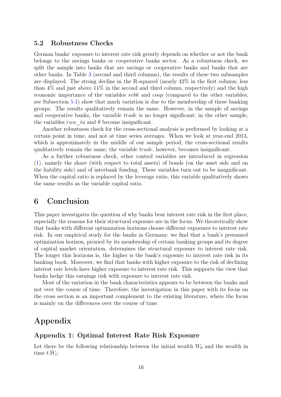#### <span id="page-20-1"></span>5.2 Robustness Checks

German banks' exposure to interest rate risk greatly depends on whether or not the bank belongs to the savings banks or cooperative banks sector. As a robustness check, we split the sample into banks that are savings or cooperative banks and banks that are other banks. In Table [3](#page-19-0) (second and third columns), the results of these two subsamples are displayed. The strong decline in the R-squared (nearly 42% in the first column; less than  $4\%$  and just above  $11\%$  in the second and third column, respectively) and the high economic importance of the variables *svbk* and *coop* (compared to the other variables; see Subsection [5.1\)](#page-18-1) show that much variation is due to the membership of these banking groups. The results qualitatively remain the same. However, in the sample of savings and cooperative banks, the variable *trade* is no longer significant; in the other sample, the variables rwa ta and  $\theta$  become insignificant.

Another robustness check for the cross-sectional analysis is performed by looking at a certain point in time, and not at time series averages. When we look at year-end 2013, which is approximately in the middle of our sample period, the cross-sectional results qualitatively remain the same; the variable trade, however, becomes insignificant.

As a further robustness check, other control variables are introduced in regression [\(1\)](#page-8-0), namely the share (with respect to total assets) of bonds (on the asset side and on the liability side) and of interbank funding. These variables turn out to be insignificant. When the capital ratio is replaced by the leverage ratio, this variable qualitatively shows the same results as the variable capital ratio.

## <span id="page-20-0"></span>6 Conclusion

This paper investigates the question of why banks bear interest rate risk in the first place, especially the reasons for their structural exposure are in the focus. We theoretically show that banks with different optimization horizons choose different exposures to interest rate risk. In our empirical study for the banks in Germany, we find that a bank's presumed optimization horizon, proxied by its membership of certain banking groups and its degree of capital market orientation, determines the structural exposure to interest rate risk. The longer this horizons is, the higher is the bank's exposure to interest rate risk in its banking book. Moreover, we find that banks with higher exposure to the risk of declining interest rate levels have higher exposure to interest rate risk. This supports the view that banks hedge this earnings risk with exposure to interest rate risk.

Most of the variation in the bank characteristics appears to be between the banks and not over the course of time. Therefore, the investigation in this paper with its focus on the cross section is an important complement to the existing literature, where the focus is mainly on the differences over the course of time.

## Appendix

## Appendix 1: Optimal Interest Rate Risk Exposure

Let there be the following relationship between the initial wealth  $W_0$  and the wealth in time  $t, W_t$ :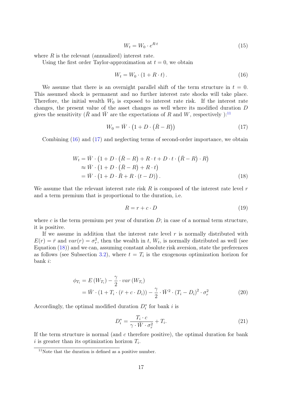$$
W_t = W_0 \cdot e^{R \cdot t} \tag{15}
$$

where  $R$  is the relevant (annualized) interest rate.

Using the first order Taylor-approximation at  $t = 0$ , we obtain

<span id="page-21-0"></span>
$$
W_t = W_0 \cdot (1 + R \cdot t). \tag{16}
$$

We assume that there is an overnight parallel shift of the term structure in  $t = 0$ . This assumed shock is permanent and no further interest rate shocks will take place. Therefore, the initial wealth  $W_0$  is exposed to interest rate risk. If the interest rate changes, the present value of the asset changes as well where its modified duration D gives the sensitivity ( $\overline{R}$  and  $\overline{W}$  are the expectations of R and W, respectively ):<sup>[11](#page-2-0)</sup>

<span id="page-21-1"></span>
$$
W_0 = \bar{W} \cdot \left(1 + D \cdot (\bar{R} - R)\right) \tag{17}
$$

Combining [\(16\)](#page-21-0) and [\(17\)](#page-21-1) and neglecting terms of second-order importance, we obtain

$$
W_t = \overline{W} \cdot (1 + D \cdot (\overline{R} - R) + R \cdot t + D \cdot t \cdot (\overline{R} - R) \cdot R)
$$
  
\n
$$
\approx \overline{W} \cdot (1 + D \cdot (\overline{R} - R) + R \cdot t)
$$
  
\n
$$
= \overline{W} \cdot (1 + D \cdot \overline{R} + R \cdot (t - D)). \tag{18}
$$

We assume that the relevant interest rate risk  $R$  is composed of the interest rate level  $r$ and a term premium that is proportional to the duration, i.e.

<span id="page-21-2"></span>
$$
R = r + c \cdot D \tag{19}
$$

where c is the term premium per year of duration  $D$ ; in case of a normal term structure, it is positive.

If we assume in addition that the interest rate level  $r$  is normally distributed with  $E(r) = \bar{r}$  and  $var(r) = \sigma_r^2$ , then the wealth in t,  $W_t$ , is normally distributed as well (see Equation [\(18\)](#page-21-2)) and we can, assuming constant absolute risk aversion, state the preferences as follows (see Subsection [3.2\)](#page-9-1), where  $t = T_i$  is the exogenous optimization horizon for bank i:

$$
\phi_{T_i} = E(W_{T_i}) - \frac{\gamma}{2} \cdot var(W_{T_i})
$$
  
=  $\bar{W} \cdot (1 + T_i \cdot (\bar{r} + c \cdot D_i)) - \frac{\gamma}{2} \cdot \bar{W}^2 \cdot (T_i - D_i)^2 \cdot \sigma_r^2$  (20)

Accordingly, the optimal modified duration  $D_i^*$  for bank i is

$$
D_i^* = \frac{T_i \cdot c}{\gamma \cdot \bar{W} \cdot \sigma_r^2} + T_i. \tag{21}
$$

If the term structure is normal (and  $c$  therefore positive), the optimal duration for bank i is greater than its optimization horizon  $T_i$ .

 $11$ Note that the duration is defined as a positive number.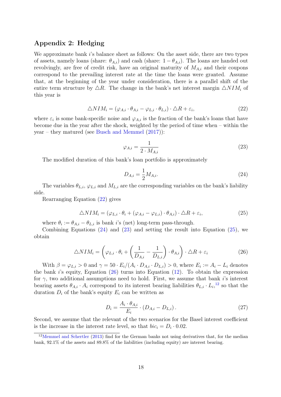## Appendix 2: Hedging

We approximate bank  $i$ 's balance sheet as follows: On the asset side, there are two types of assets, namely loans (share:  $\theta_{A,i}$ ) and cash (share:  $1 - \theta_{A,i}$ ). The loans are handed out revolvingly, are free of credit risk, have an original maturity of  $M_{A,i}$  and their coupons correspond to the prevailing interest rate at the time the loans were granted. Assume that, at the beginning of the year under consideration, there is a parallel shift of the entire term structure by  $\Delta R$ . The change in the bank's net interest margin  $\Delta NIM_i$  of this year is

<span id="page-22-0"></span>
$$
\triangle NIM_i = (\varphi_{A,i} \cdot \theta_{A,i} - \varphi_{L,i} \cdot \theta_{L,i}) \cdot \triangle R + \varepsilon_i, \tag{22}
$$

where  $\varepsilon_i$  is some bank-specific noise and  $\varphi_{A,i}$  is the fraction of the bank's loans that have become due in the year after the shock, weighted by the period of time when – within the year – they matured (see [Busch and Memmel](#page-23-9) [\(2017\)](#page-23-9)):

<span id="page-22-2"></span>
$$
\varphi_{A,i} = \frac{1}{2 \cdot M_{A,i}}\tag{23}
$$

The modified duration of this bank's loan portfolio is approximately

<span id="page-22-1"></span>
$$
D_{A,i} = \frac{1}{2} M_{A,i}.\tag{24}
$$

The variables  $\theta_{L,i}$ ,  $\varphi_{L,i}$  and  $M_{L,i}$  are the corresponding variables on the bank's liability side.

Rearranging Equation [\(22\)](#page-22-0) gives

<span id="page-22-3"></span>
$$
\triangle NIM_i = (\varphi_{L,i} \cdot \theta_i + (\varphi_{A,i} - \varphi_{L,i}) \cdot \theta_{A,i}) \cdot \triangle R + \varepsilon_i,
$$
\n(25)

where  $\theta_i := \theta_{A,i} - \theta_{L,i}$  is bank i's (net) long-term pass-through.

Combining Equations  $(24)$  and  $(23)$  and setting the result into Equation  $(25)$ , we obtain

<span id="page-22-4"></span>
$$
\triangle NIM_i = \left(\varphi_{L,i} \cdot \theta_i + \left(\frac{1}{D_{A,i}} - \frac{1}{D_{L,i}}\right) \cdot \theta_{A,i}\right) \cdot \triangle R + \varepsilon_i
$$
\n(26)

With  $\beta = \varphi_{L,i} > 0$  and  $\gamma = 50 \cdot E_i / (A_i \cdot D_{A,i} \cdot D_{L,i}) > 0$ , where  $E_i := A_i - L_i$  denotes the bank i's equity, Equation [\(26\)](#page-22-4) turns into Equation [\(12\)](#page-13-0). To obtain the expression for  $\gamma$ , two additional assumptions need to hold. First, we assume that bank i's interest bearing assets  $\theta_{A,i} \cdot A_i$  correspond to its interest bearing liabilities  $\theta_{L,i} \cdot L_i$ <sup>[12](#page-2-0)</sup> so that the duration  $D_i$  of the bank's equity  $E_i$  can be written as

$$
D_i = \frac{A_i \cdot \theta_{A,i}}{E_i} \cdot (D_{A,i} - D_{L,i}).
$$
\n(27)

Second, we assume that the relevant of the two scenarios for the Basel interest coefficient is the increase in the interest rate level, so that  $bic_i = D_i \cdot 0.02$ .

<sup>&</sup>lt;sup>12</sup>[Memmel and Schertler](#page-24-5) [\(2013\)](#page-24-5) find for the German banks not using derivatives that, for the median bank, 92.1% of the assets and 89.8% of the liabilities (including equity) are interest bearing.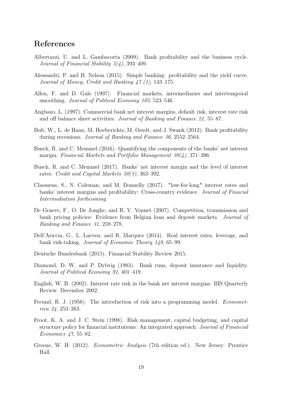## References

- <span id="page-23-6"></span>Albertazzi, U. and L. Gambacorta (2009). Bank profitability and the business cycle. Journal of Financial Stability 5(4), 393–409.
- <span id="page-23-3"></span>Alessandri, P. and B. Nelson (2015). Simple banking: profitability and the yield curve. Journal of Money, Credit and Banking 47 (1), 143–175.
- <span id="page-23-11"></span>Allen, F. and D. Gale (1997). Financial markets, intermediaries and intertemporal smoothing. Journal of Political Economy 105, 523–546.
- <span id="page-23-10"></span>Angbazo, L. (1997). Commercial bank net interest margins, default risk, interest rate risk and off balance sheet activities. Journal of Banking and Finance 21, 55–87.
- <span id="page-23-7"></span>Bolt, W., L. de Haan, M. Hoeberichts, M. Oordt, and J. Swank (2012). Bank profitability during recessions. Journal of Banking and Finance 36, 2552–2564.
- <span id="page-23-1"></span>Busch, R. and C. Memmel (2016). Quantifying the components of the banks' net interest margin. Financial Markets and Portfolio Management 30(4), 371–396.
- <span id="page-23-9"></span>Busch, R. and C. Memmel (2017). Banks' net interest margin and the level of interest rates. Credit and Capital Markets 50(3), 363–392.
- <span id="page-23-8"></span>Claessens, S., N. Coleman, and M. Donnelly (2017). "low-for-long" interest rates and banks' interest margins and profitability: Cross-country evidence. Journal of Finacial Intermediation forthcoming.
- <span id="page-23-14"></span>De Graeve, F., O. De Jonghe, and R. V. Vennet (2007). Competition, transmission and bank pricing policies: Evidence from Belgian loan and deposit markets. Journal of Banking and Finance 31, 259–278.
- <span id="page-23-4"></span>Dell'Ariccia, G., L. Laeven, and R. Marquez (2014). Real interest rates, leverage, and bank risk-taking. Journal of Economic Theory 149, 65–99.
- <span id="page-23-0"></span>Deutsche Bundesbank (2015). Financial Stability Review 2015.
- <span id="page-23-12"></span>Diamond, D. W. and P. Dybvig (1983). Bank runs, deposit insurance and liquidity. Journal of Political Economy 91, 401–419.
- <span id="page-23-5"></span>English, W. B. (2002). Interest rate risk in the bank net interest margins. BIS Quarterly Review. December 2002.
- <span id="page-23-13"></span>Freund, R. J. (1956). The introduction of risk into a programming model. *Economet*rica 24, 253–263.
- <span id="page-23-2"></span>Froot, K. A. and J. C. Stein (1998). Risk management, capital budgeting, and capital structure policy for financial institutions: An integrated approach. Journal of Financial Economics 47, 55–82.
- <span id="page-23-15"></span>Greene, W. H. (2012). Econometric Analysis (7th edition ed.). New Jersey: Prentice Hall.